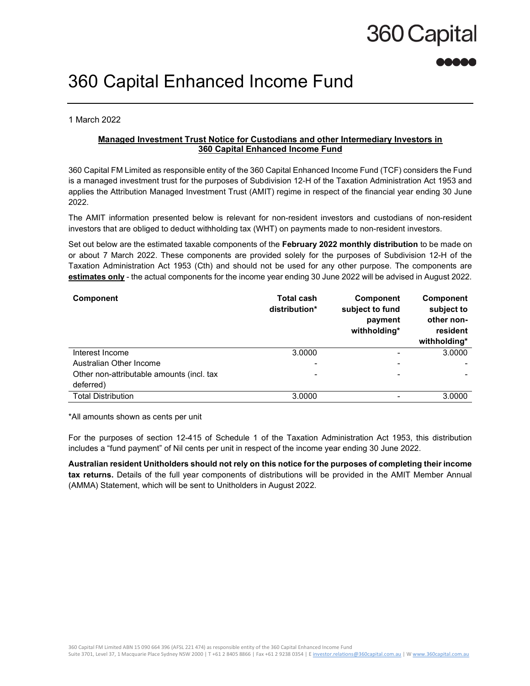# 360 Capital

## 360 Capital Enhanced Income Fund

1 March 2022

### Managed Investment Trust Notice for Custodians and other Intermediary Investors in 360 Capital Enhanced Income Fund

360 Capital FM Limited as responsible entity of the 360 Capital Enhanced Income Fund (TCF) considers the Fund is a managed investment trust for the purposes of Subdivision 12-H of the Taxation Administration Act 1953 and applies the Attribution Managed Investment Trust (AMIT) regime in respect of the financial year ending 30 June 2022.

The AMIT information presented below is relevant for non-resident investors and custodians of non-resident investors that are obliged to deduct withholding tax (WHT) on payments made to non-resident investors.

Set out below are the estimated taxable components of the February 2022 monthly distribution to be made on or about 7 March 2022. These components are provided solely for the purposes of Subdivision 12-H of the Taxation Administration Act 1953 (Cth) and should not be used for any other purpose. The components are estimates only - the actual components for the income year ending 30 June 2022 will be advised in August 2022.

| Component                                 | <b>Total cash</b><br>distribution* | <b>Component</b><br>subject to fund<br>payment<br>withholding* | <b>Component</b><br>subject to<br>other non-<br>resident<br>withholding* |
|-------------------------------------------|------------------------------------|----------------------------------------------------------------|--------------------------------------------------------------------------|
| Interest Income                           | 3.0000                             |                                                                | 3.0000                                                                   |
| Australian Other Income                   |                                    |                                                                |                                                                          |
| Other non-attributable amounts (incl. tax | -                                  |                                                                |                                                                          |
| deferred)                                 |                                    |                                                                |                                                                          |
| <b>Total Distribution</b>                 | 3.0000                             |                                                                | 3.0000                                                                   |

\*All amounts shown as cents per unit

For the purposes of section 12-415 of Schedule 1 of the Taxation Administration Act 1953, this distribution includes a "fund payment" of Nil cents per unit in respect of the income year ending 30 June 2022.

Australian resident Unitholders should not rely on this notice for the purposes of completing their income tax returns. Details of the full year components of distributions will be provided in the AMIT Member Annual (AMMA) Statement, which will be sent to Unitholders in August 2022.